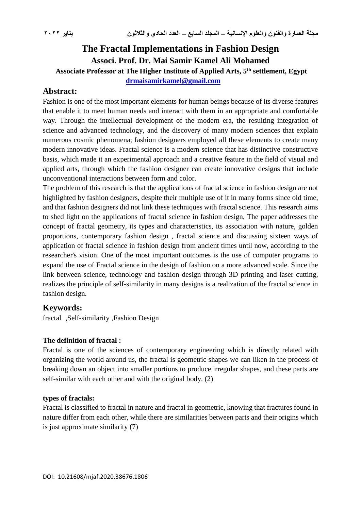# **The Fractal Implementations in Fashion Design Associ. Prof. Dr. Mai Samir Kamel Ali Mohamed**

**Associate Professor at The Higher Institute of Applied Arts, 5th settlement, Egypt**

**[drmaisamirkamel@gmail.com](mailto:drmaisamirkamel@gmail.com)**

# **Abstract:**

Fashion is one of the most important elements for human beings because of its diverse features that enable it to meet human needs and interact with them in an appropriate and comfortable way. Through the intellectual development of the modern era, the resulting integration of science and advanced technology, and the discovery of many modern sciences that explain numerous cosmic phenomena; fashion designers employed all these elements to create many modern innovative ideas. Fractal science is a modern science that has distinctive constructive basis, which made it an experimental approach and a creative feature in the field of visual and applied arts, through which the fashion designer can create innovative designs that include unconventional interactions between form and color.

The problem of this research is that the applications of fractal science in fashion design are not highlighted by fashion designers, despite their multiple use of it in many forms since old time, and that fashion designers did not link these techniques with fractal science. This research aims to shed light on the applications of fractal science in fashion design, The paper addresses the concept of fractal geometry, its types and characteristics, its association with nature, golden proportions, contemporary fashion design , fractal science and discussing sixteen ways of application of fractal science in fashion design from ancient times until now, according to the researcher's vision. One of the most important outcomes is the use of computer programs to expand the use of Fractal science in the design of fashion on a more advanced scale. Since the link between science, technology and fashion design through 3D printing and laser cutting, realizes the principle of self-similarity in many designs is a realization of the fractal science in fashion design.

# **Keywords:**

fractal ,Self-similarity ,Fashion Design

# **The definition of fractal :**

Fractal is one of the sciences of contemporary engineering which is directly related with organizing the world around us, the fractal is geometric shapes we can liken in the process of breaking down an object into smaller portions to produce irregular shapes, and these parts are self-similar with each other and with the original body. (2)

## **types of fractals:**

Fractal is classified to fractal in nature and fractal in geometric, knowing that fractures found in nature differ from each other, while there are similarities between parts and their origins which is just approximate similarity (7)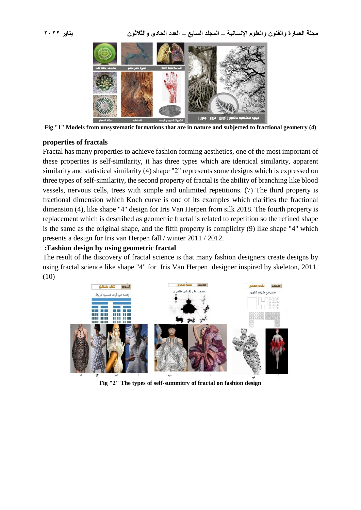

**Fig "1" Models from unsystematic formations that are in nature and subjected to fractional geometry (4)**

#### **properties of fractals**

Fractal has many properties to achieve fashion forming aesthetics, one of the most important of these properties is self-similarity, it has three types which are identical similarity, apparent similarity and statistical similarity (4) shape "2" represents some designs which is expressed on three types of self-similarity, the second property of fractal is the ability of branching like blood vessels, nervous cells, trees with simple and unlimited repetitions. (7) The third property is fractional dimension which Koch curve is one of its examples which clarifies the fractional dimension (4), like shape "4" design for Iris Van Herpen from silk 2018. The fourth property is replacement which is described as geometric fractal is related to repetition so the refined shape is the same as the original shape, and the fifth property is complicity (9) like shape "4" which presents a design for Iris van Herpen fall / winter 2011 / 2012.

### **:Fashion design by using geometric fractal**

The result of the discovery of fractal science is that many fashion designers create designs by using fractal science like shape "4" for Iris Van Herpen designer inspired by skeleton, 2011. (10)



**Fig "2" The types of self-summitry of fractal on fashion design**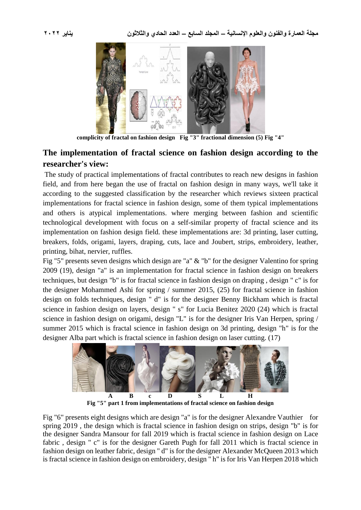

**complicity of fractal on fashion design Fig "3" fractional dimension (5) Fig "4"**

# **The implementation of fractal science on fashion design according to the researcher's view:**

The study of practical implementations of fractal contributes to reach new designs in fashion field, and from here began the use of fractal on fashion design in many ways, we'll take it according to the suggested classification by the researcher which reviews sixteen practical implementations for fractal science in fashion design, some of them typical implementations and others is atypical implementations. where merging between fashion and scientific technological development with focus on a self-similar property of fractal science and its implementation on fashion design field. these implementations are: 3d printing, laser cutting, breakers, folds, origami, layers, draping, cuts, lace and Joubert, strips, embroidery, leather, printing, bihat, nervier, ruffles.

Fig "5" presents seven designs which design are "a" & "b" for the designer Valentino for spring 2009 (19), design "a" is an implementation for fractal science in fashion design on breakers techniques, but design "b" is for fractal science in fashion design on draping , design " c" is for the designer Mohammed Ashi for spring / summer 2015, (25) for fractal science in fashion design on folds techniques, design " d" is for the designer Benny Bickham which is fractal science in fashion design on layers, design " s" for Lucia Benitez 2020 (24) which is fractal science in fashion design on origami, design "L" is for the designer Iris Van Herpen, spring / summer 2015 which is fractal science in fashion design on 3d printing, design "h" is for the designer Alba part which is fractal science in fashion design on laser cutting. (17)



**Fig "5" part 1 from implementations of fractal science on fashion design**

Fig "6" presents eight designs which are design "a" is for the designer Alexandre Vauthier for spring 2019 , the design which is fractal science in fashion design on strips, design "b" is for the designer Sandra Mansour for fall 2019 which is fractal science in fashion design on Lace fabric , design " c" is for the designer Gareth Pugh for fall 2011 which is fractal science in fashion design on leather fabric, design " d" is for the designer Alexander McQueen 2013 which is fractal science in fashion design on embroidery, design " h" is for Iris Van Herpen 2018 which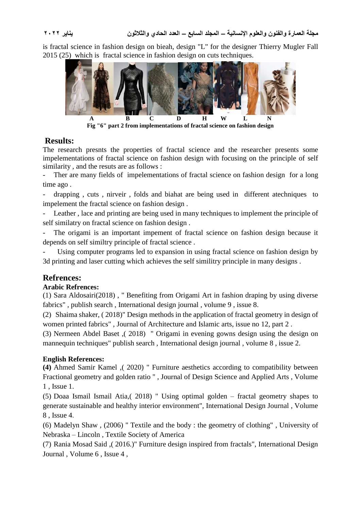is fractal science in fashion design on bieah, design "L" for the designer Thierry Mugler Fall 2015 (25) which is fractal science in fashion design on cuts techniques.



# **Results:**

The research presnts the properties of fractal science and the researcher presents some impelementations of fractal science on fashion design with focusing on the principle of self similarity , and the resuts are as follows :

Ther are many fields of impelementations of fractal science on fashion design for a long time ago .

- drapping , cuts , nirveir , folds and biahat are being used in different atechniques to impelement the fractal science on fashion design .

Leather, lace and printing are being used in many techniques to implement the principle of self similatry on fractal science on fashion design .

The origami is an important impement of fractal science on fashion design because it depends on self similtry principle of fractal science .

Using computer programs led to expansion in using fractal science on fashion design by 3d printing and laser cutting which achieves the self similitry principle in many designs .

# **Refrences:**

# **Arabic Refrences:**

(1) Sara Aldosairi(2018) , " Benefiting from Origami Art in fashion draping by using diverse fabrics" , publish search , International design journal , volume 9 , issue 8.

(2) Shaima shaker, ( 2018)" Design methods in the application of fractal geometry in design of women printed fabrics" , Journal of Architecture and Islamic arts, issue no 12, part 2 .

(3) Nermeen Abdel Baset ,( 2018) " Origami in evening gowns design using the design on mannequin techniques" publish search , International design journal , volume 8 , issue 2.

# **English References:**

**(4)** Ahmed Samir Kamel ,( 2020) " Furniture aesthetics according to compatibility between Fractional geometry and golden ratio " , Journal of Design Science and Applied Arts , Volume 1 , Issue 1.

(5) Doaa Ismail Ismail Atia,( 2018) " Using optimal golden – fractal geometry shapes to generate sustainable and healthy interior environment", International Design Journal , Volume 8 , Issue 4.

(6) Madelyn Shaw , (2006) " Textile and the body : the geometry of clothing" , University of Nebraska – Lincoln , Textile Society of America

(7) Rania Mosad Said ,( 2016.)" Furniture design inspired from fractals", International Design Journal , Volume 6 , Issue 4 ,